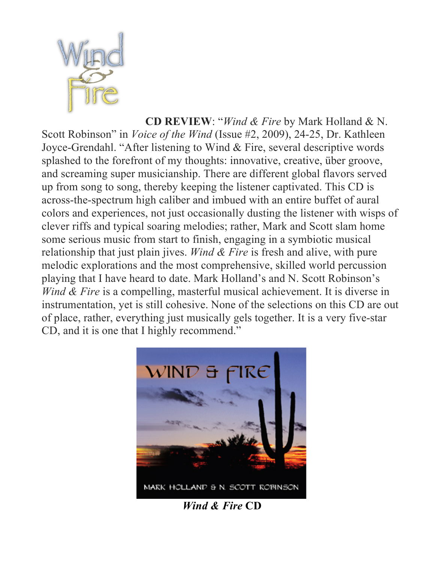

**CD REVIEW**: "*Wind & Fire* by Mark Holland & N. Scott Robinson" in *Voice of the Wind* (Issue #2, 2009), 24-25, Dr. Kathleen Joyce-Grendahl. "After listening to Wind & Fire, several descriptive words splashed to the forefront of my thoughts: innovative, creative, über groove, and screaming super musicianship. There are different global flavors served up from song to song, thereby keeping the listener captivated. This CD is across-the-spectrum high caliber and imbued with an entire buffet of aural colors and experiences, not just occasionally dusting the listener with wisps of clever riffs and typical soaring melodies; rather, Mark and Scott slam home some serious music from start to finish, engaging in a symbiotic musical relationship that just plain jives. *Wind & Fire* is fresh and alive, with pure melodic explorations and the most comprehensive, skilled world percussion playing that I have heard to date. Mark Holland's and N. Scott Robinson's *Wind & Fire* is a compelling, masterful musical achievement. It is diverse in instrumentation, yet is still cohesive. None of the selections on this CD are out of place, rather, everything just musically gels together. It is a very five-star CD, and it is one that I highly recommend."



 *Wind & Fire* **CD**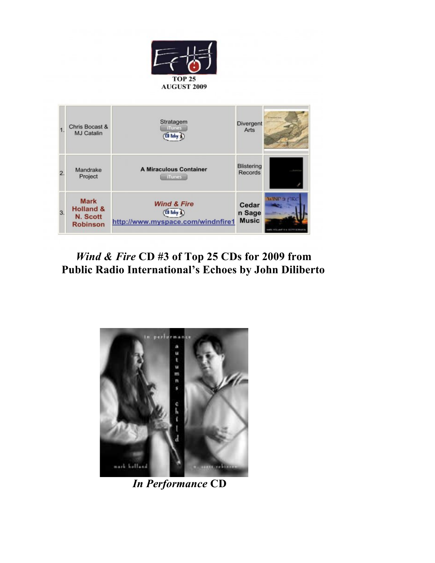



#### *Wind & Fire* **CD #3 of Top 25 CDs for 2009 from Public Radio International's Echoes by John Diliberto**



 *In Performance* **CD**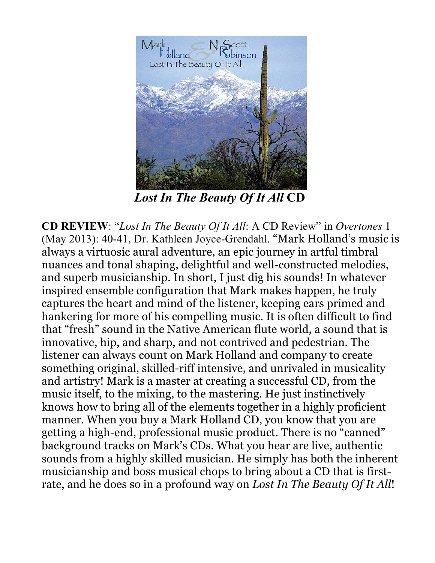

 *Lost In The Beauty Of It All* **CD** 

**CD REVIEW**: "*Lost In The Beauty Of It All*: A CD Review" in *Overtones* 1 (May 2013): 40-41, Dr. Kathleen Joyce-Grendahl. "Mark Holland's music is always a virtuosic aural adventure, an epic journey in artful timbral nuances and tonal shaping, delightful and well-constructed melodies, and superb musicianship. In short, I just dig his sounds! In whatever inspired ensemble configuration that Mark makes happen, he truly captures the heart and mind of the listener, keeping ears primed and hankering for more of his compelling music. It is often difficult to find that "fresh" sound in the Native American flute world, a sound that is innovative, hip, and sharp, and not contrived and pedestrian. The listener can always count on Mark Holland and company to create something original, skilled-riff intensive, and unrivaled in musicality and artistry! Mark is a master at creating a successful CD, from the music itself, to the mixing, to the mastering. He just instinctively knows how to bring all of the elements together in a highly proficient manner. When you buy a Mark Holland CD, you know that you are getting a high-end, professional music product. There is no "canned" background tracks on Mark's CDs. What you hear are live, authentic sounds from a highly skilled musician. He simply has both the inherent musicianship and boss musical chops to bring about a CD that is firstrate, and he does so in a profound way on *Lost In The Beauty Of It All*!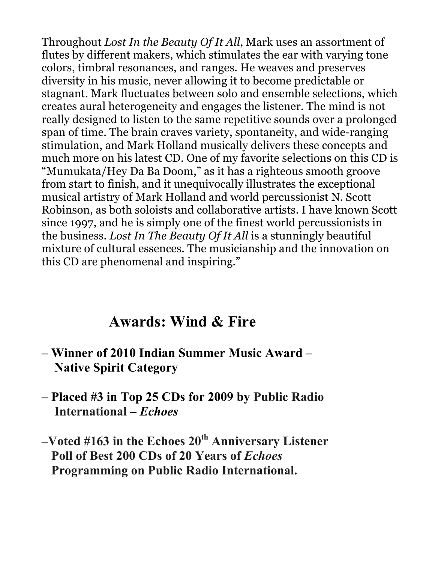Throughout *Lost In the Beauty Of It All*, Mark uses an assortment of flutes by different makers, which stimulates the ear with varying tone colors, timbral resonances, and ranges. He weaves and preserves diversity in his music, never allowing it to become predictable or stagnant. Mark fluctuates between solo and ensemble selections, which creates aural heterogeneity and engages the listener. The mind is not really designed to listen to the same repetitive sounds over a prolonged span of time. The brain craves variety, spontaneity, and wide-ranging stimulation, and Mark Holland musically delivers these concepts and much more on his latest CD. One of my favorite selections on this CD is "Mumukata/Hey Da Ba Doom," as it has a righteous smooth groove from start to finish, and it unequivocally illustrates the exceptional musical artistry of Mark Holland and world percussionist N. Scott Robinson, as both soloists and collaborative artists. I have known Scott since 1997, and he is simply one of the finest world percussionists in the business. *Lost In The Beauty Of It All* is a stunningly beautiful mixture of cultural essences. The musicianship and the innovation on this CD are phenomenal and inspiring."

## **Awards: Wind & Fire**

- **Winner of 2010 Indian Summer Music Award – Native Spirit Category**
- **Placed #3 in Top 25 CDs for 2009 by Public Radio International –** *Echoes*
- **–Voted #163 in the Echoes 20th Anniversary Listener Poll of Best 200 CDs of 20 Years of** *Echoes*  **Programming on Public Radio International.**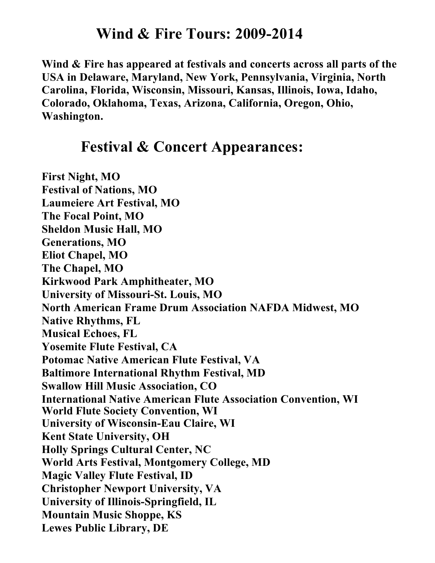#### **Wind & Fire Tours: 2009-2014**

**Wind & Fire has appeared at festivals and concerts across all parts of the USA in Delaware, Maryland, New York, Pennsylvania, Virginia, North Carolina, Florida, Wisconsin, Missouri, Kansas, Illinois, Iowa, Idaho, Colorado, Oklahoma, Texas, Arizona, California, Oregon, Ohio, Washington.**

### **Festival & Concert Appearances:**

**First Night, MO Festival of Nations, MO Laumeiere Art Festival, MO The Focal Point, MO Sheldon Music Hall, MO Generations, MO Eliot Chapel, MO The Chapel, MO Kirkwood Park Amphitheater, MO University of Missouri-St. Louis, MO North American Frame Drum Association NAFDA Midwest, MO Native Rhythms, FL Musical Echoes, FL Yosemite Flute Festival, CA Potomac Native American Flute Festival, VA Baltimore International Rhythm Festival, MD Swallow Hill Music Association, CO International Native American Flute Association Convention, WI World Flute Society Convention, WI University of Wisconsin-Eau Claire, WI Kent State University, OH Holly Springs Cultural Center, NC World Arts Festival, Montgomery College, MD Magic Valley Flute Festival, ID Christopher Newport University, VA University of Illinois-Springfield, IL Mountain Music Shoppe, KS Lewes Public Library, DE**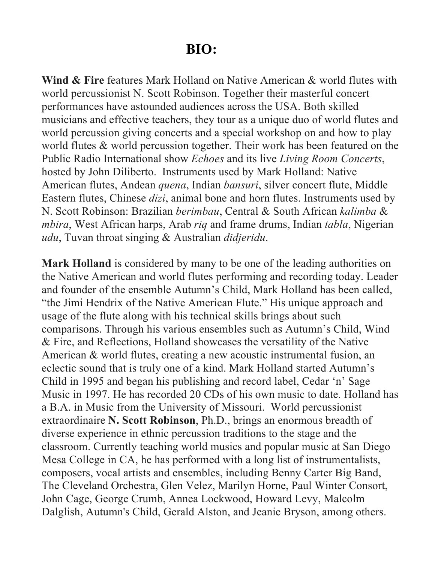### **BIO:**

**Wind & Fire** features Mark Holland on Native American & world flutes with world percussionist N. Scott Robinson. Together their masterful concert performances have astounded audiences across the USA. Both skilled musicians and effective teachers, they tour as a unique duo of world flutes and world percussion giving concerts and a special workshop on and how to play world flutes & world percussion together. Their work has been featured on the Public Radio International show *Echoes* and its live *Living Room Concerts*, hosted by John Diliberto. Instruments used by Mark Holland: Native American flutes, Andean *quena*, Indian *bansuri*, silver concert flute, Middle Eastern flutes, Chinese *dizi*, animal bone and horn flutes. Instruments used by N. Scott Robinson: Brazilian *berimbau*, Central & South African *kalimba* & *mbira*, West African harps, Arab *riq* and frame drums, Indian *tabla*, Nigerian *udu*, Tuvan throat singing & Australian *didjeridu*.

**Mark Holland** is considered by many to be one of the leading authorities on the Native American and world flutes performing and recording today. Leader and founder of the ensemble Autumn's Child, Mark Holland has been called, "the Jimi Hendrix of the Native American Flute." His unique approach and usage of the flute along with his technical skills brings about such comparisons. Through his various ensembles such as Autumn's Child, Wind & Fire, and Reflections, Holland showcases the versatility of the Native American & world flutes, creating a new acoustic instrumental fusion, an eclectic sound that is truly one of a kind. Mark Holland started Autumn's Child in 1995 and began his publishing and record label, Cedar 'n' Sage Music in 1997. He has recorded 20 CDs of his own music to date. Holland has a B.A. in Music from the University of Missouri. World percussionist extraordinaire **N. Scott Robinson**, Ph.D., brings an enormous breadth of diverse experience in ethnic percussion traditions to the stage and the classroom. Currently teaching world musics and popular music at San Diego Mesa College in CA, he has performed with a long list of instrumentalists, composers, vocal artists and ensembles, including Benny Carter Big Band, The Cleveland Orchestra, Glen Velez, Marilyn Horne, Paul Winter Consort, John Cage, George Crumb, Annea Lockwood, Howard Levy, Malcolm Dalglish, Autumn's Child, Gerald Alston, and Jeanie Bryson, among others.